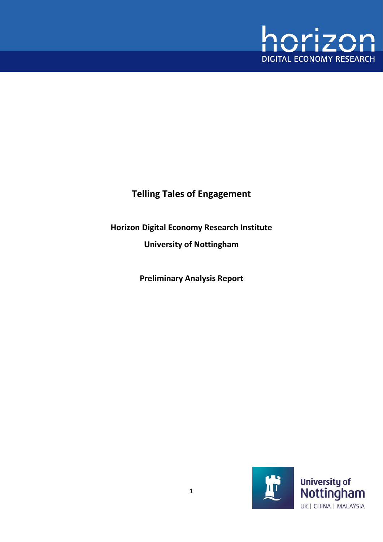

## **Telling Tales of Engagement**

**Horizon Digital Economy Research Institute**

**University of Nottingham**

**Preliminary Analysis Report**

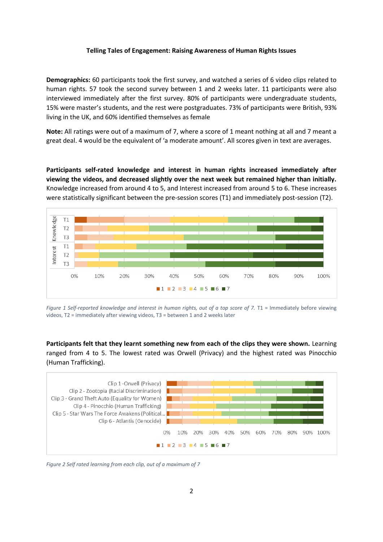## **Telling Tales of Engagement: Raising Awareness of Human Rights Issues**

**Demographics:** 60 participants took the first survey, and watched a series of 6 video clips related to human rights. 57 took the second survey between 1 and 2 weeks later. 11 participants were also interviewed immediately after the first survey. 80% of participants were undergraduate students, 15% were master's students, and the rest were postgraduates. 73% of participants were British, 93% living in the UK, and 60% identified themselves as female

**Note:** All ratings were out of a maximum of 7, where a score of 1 meant nothing at all and 7 meant a great deal. 4 would be the equivalent of 'a moderate amount'. All scores given in text are averages.

**Participants self-rated knowledge and interest in human rights increased immediately after viewing the videos, and decreased slightly over the next week but remained higher than initially.**  Knowledge increased from around 4 to 5, and Interest increased from around 5 to 6. These increases were statistically significant between the pre-session scores (T1) and immediately post-session (T2).



*Figure 1 Self-reported knowledge and interest in human rights, out of a top score of 7.* T1 = Immediately before viewing videos, T2 = immediately after viewing videos, T3 = between 1 and 2 weeks later

**Participants felt that they learnt something new from each of the clips they were shown.** Learning ranged from 4 to 5. The lowest rated was Orwell (Privacy) and the highest rated was Pinocchio (Human Trafficking).



*Figure 2 Self rated learning from each clip, out of a maximum of 7*